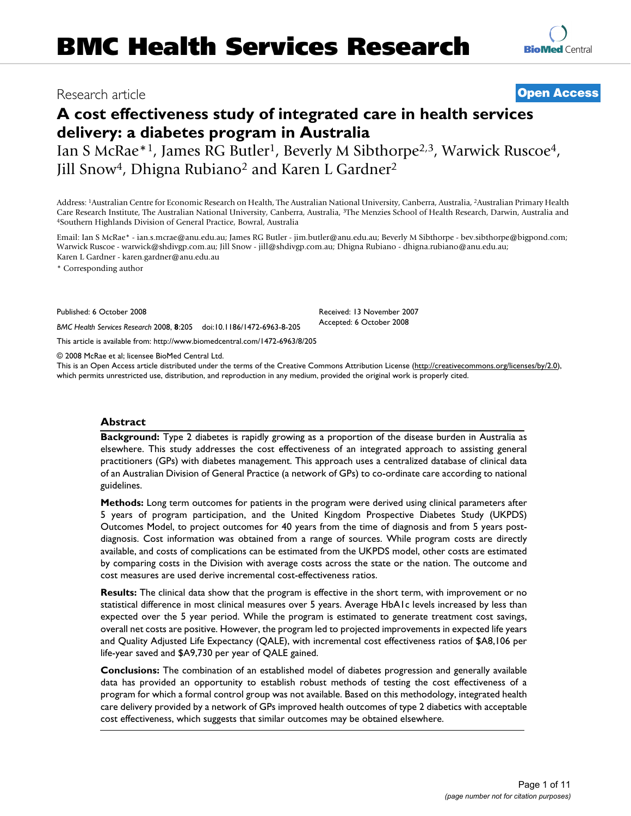## Research article **[Open Access](http://www.biomedcentral.com/info/about/charter/)**

# **A cost effectiveness study of integrated care in health services delivery: a diabetes program in Australia**

Ian S McRae<sup>\*1</sup>, James RG Butler<sup>1</sup>, Beverly M Sibthorpe<sup>2,3</sup>, Warwick Ruscoe<sup>4</sup>, Jill Snow<sup>4</sup>, Dhigna Rubiano<sup>2</sup> and Karen L Gardner<sup>2</sup>

Address: 1Australian Centre for Economic Research on Health, The Australian National University, Canberra, Australia, 2Australian Primary Health Care Research Institute, The Australian National University, Canberra, Australia, <sup>3</sup>The Menzies School of Health Research, Darwin, Australia and 4Southern Highlands Division of General Practice, Bowral, Australia

Email: Ian S McRae\* - ian.s.mcrae@anu.edu.au; James RG Butler - jim.butler@anu.edu.au; Beverly M Sibthorpe - bev.sibthorpe@bigpond.com; Warwick Ruscoe - warwick@shdivgp.com.au; Jill Snow - jill@shdivgp.com.au; Dhigna Rubiano - dhigna.rubiano@anu.edu.au; Karen L Gardner - karen.gardner@anu.edu.au

> Received: 13 November 2007 Accepted: 6 October 2008

\* Corresponding author

Published: 6 October 2008

*BMC Health Services Research* 2008, **8**:205 doi:10.1186/1472-6963-8-205

[This article is available from: http://www.biomedcentral.com/1472-6963/8/205](http://www.biomedcentral.com/1472-6963/8/205)

© 2008 McRae et al; licensee BioMed Central Ltd.

This is an Open Access article distributed under the terms of the Creative Commons Attribution License [\(http://creativecommons.org/licenses/by/2.0\)](http://creativecommons.org/licenses/by/2.0), which permits unrestricted use, distribution, and reproduction in any medium, provided the original work is properly cited.

## **Abstract**

**Background:** Type 2 diabetes is rapidly growing as a proportion of the disease burden in Australia as elsewhere. This study addresses the cost effectiveness of an integrated approach to assisting general practitioners (GPs) with diabetes management. This approach uses a centralized database of clinical data of an Australian Division of General Practice (a network of GPs) to co-ordinate care according to national guidelines.

**Methods:** Long term outcomes for patients in the program were derived using clinical parameters after 5 years of program participation, and the United Kingdom Prospective Diabetes Study (UKPDS) Outcomes Model, to project outcomes for 40 years from the time of diagnosis and from 5 years postdiagnosis. Cost information was obtained from a range of sources. While program costs are directly available, and costs of complications can be estimated from the UKPDS model, other costs are estimated by comparing costs in the Division with average costs across the state or the nation. The outcome and cost measures are used derive incremental cost-effectiveness ratios.

**Results:** The clinical data show that the program is effective in the short term, with improvement or no statistical difference in most clinical measures over 5 years. Average HbA1c levels increased by less than expected over the 5 year period. While the program is estimated to generate treatment cost savings, overall net costs are positive. However, the program led to projected improvements in expected life years and Quality Adjusted Life Expectancy (QALE), with incremental cost effectiveness ratios of \$A8,106 per life-year saved and \$A9,730 per year of QALE gained.

**Conclusions:** The combination of an established model of diabetes progression and generally available data has provided an opportunity to establish robust methods of testing the cost effectiveness of a program for which a formal control group was not available. Based on this methodology, integrated health care delivery provided by a network of GPs improved health outcomes of type 2 diabetics with acceptable cost effectiveness, which suggests that similar outcomes may be obtained elsewhere.



**[BioMed](http://www.biomedcentral.com/)** Central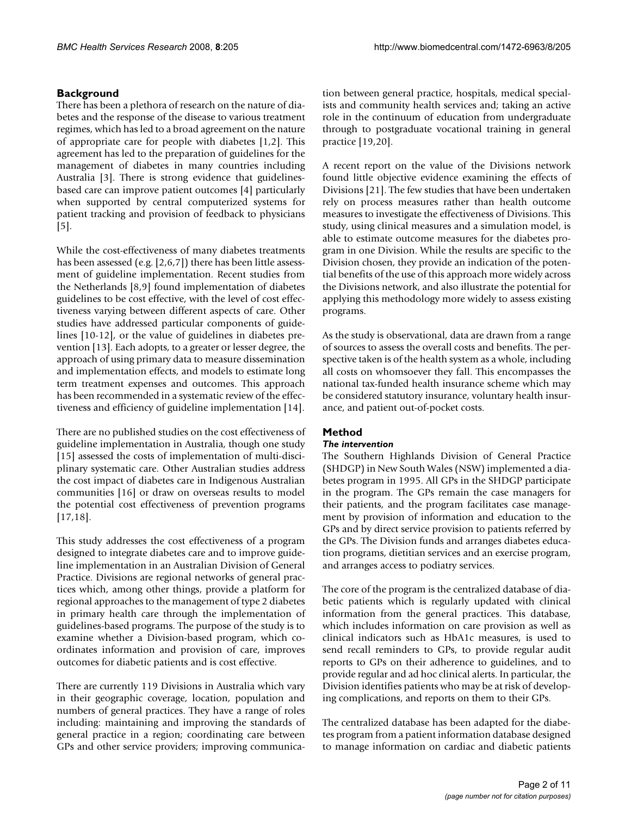## **Background**

There has been a plethora of research on the nature of diabetes and the response of the disease to various treatment regimes, which has led to a broad agreement on the nature of appropriate care for people with diabetes [1,2]. This agreement has led to the preparation of guidelines for the management of diabetes in many countries including Australia [3]. There is strong evidence that guidelinesbased care can improve patient outcomes [4] particularly when supported by central computerized systems for patient tracking and provision of feedback to physicians [5].

While the cost-effectiveness of many diabetes treatments has been assessed (e.g. [2,6,7]) there has been little assessment of guideline implementation. Recent studies from the Netherlands [8,9] found implementation of diabetes guidelines to be cost effective, with the level of cost effectiveness varying between different aspects of care. Other studies have addressed particular components of guidelines [10-12], or the value of guidelines in diabetes prevention [13]. Each adopts, to a greater or lesser degree, the approach of using primary data to measure dissemination and implementation effects, and models to estimate long term treatment expenses and outcomes. This approach has been recommended in a systematic review of the effectiveness and efficiency of guideline implementation [14].

There are no published studies on the cost effectiveness of guideline implementation in Australia, though one study [15] assessed the costs of implementation of multi-disciplinary systematic care. Other Australian studies address the cost impact of diabetes care in Indigenous Australian communities [16] or draw on overseas results to model the potential cost effectiveness of prevention programs [17,18].

This study addresses the cost effectiveness of a program designed to integrate diabetes care and to improve guideline implementation in an Australian Division of General Practice. Divisions are regional networks of general practices which, among other things, provide a platform for regional approaches to the management of type 2 diabetes in primary health care through the implementation of guidelines-based programs. The purpose of the study is to examine whether a Division-based program, which coordinates information and provision of care, improves outcomes for diabetic patients and is cost effective.

There are currently 119 Divisions in Australia which vary in their geographic coverage, location, population and numbers of general practices. They have a range of roles including: maintaining and improving the standards of general practice in a region; coordinating care between GPs and other service providers; improving communication between general practice, hospitals, medical specialists and community health services and; taking an active role in the continuum of education from undergraduate through to postgraduate vocational training in general practice [19,20].

A recent report on the value of the Divisions network found little objective evidence examining the effects of Divisions [21]. The few studies that have been undertaken rely on process measures rather than health outcome measures to investigate the effectiveness of Divisions. This study, using clinical measures and a simulation model, is able to estimate outcome measures for the diabetes program in one Division. While the results are specific to the Division chosen, they provide an indication of the potential benefits of the use of this approach more widely across the Divisions network, and also illustrate the potential for applying this methodology more widely to assess existing programs.

As the study is observational, data are drawn from a range of sources to assess the overall costs and benefits. The perspective taken is of the health system as a whole, including all costs on whomsoever they fall. This encompasses the national tax-funded health insurance scheme which may be considered statutory insurance, voluntary health insurance, and patient out-of-pocket costs.

## **Method**

## *The intervention*

The Southern Highlands Division of General Practice (SHDGP) in New South Wales (NSW) implemented a diabetes program in 1995. All GPs in the SHDGP participate in the program. The GPs remain the case managers for their patients, and the program facilitates case management by provision of information and education to the GPs and by direct service provision to patients referred by the GPs. The Division funds and arranges diabetes education programs, dietitian services and an exercise program, and arranges access to podiatry services.

The core of the program is the centralized database of diabetic patients which is regularly updated with clinical information from the general practices. This database, which includes information on care provision as well as clinical indicators such as HbA1c measures, is used to send recall reminders to GPs, to provide regular audit reports to GPs on their adherence to guidelines, and to provide regular and ad hoc clinical alerts. In particular, the Division identifies patients who may be at risk of developing complications, and reports on them to their GPs.

The centralized database has been adapted for the diabetes program from a patient information database designed to manage information on cardiac and diabetic patients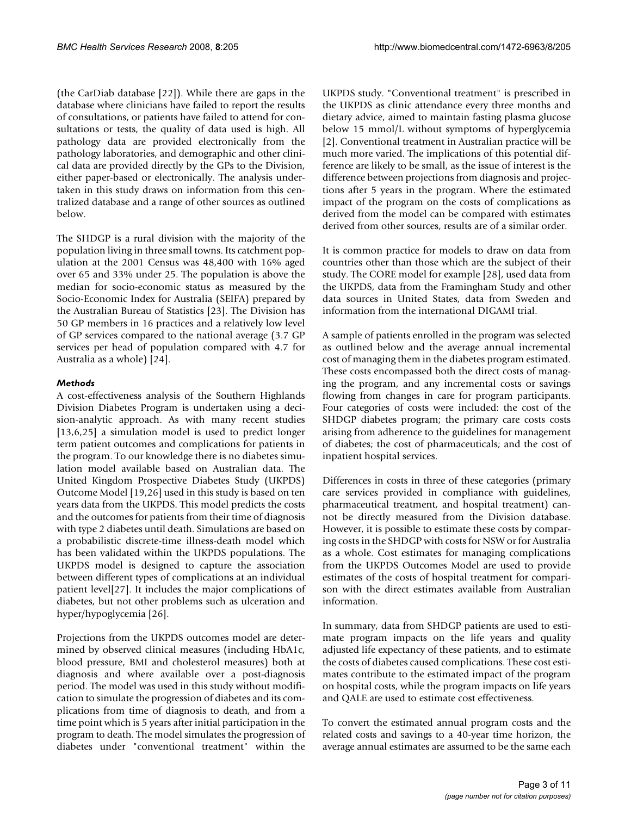(the CarDiab database [22]). While there are gaps in the database where clinicians have failed to report the results of consultations, or patients have failed to attend for consultations or tests, the quality of data used is high. All pathology data are provided electronically from the pathology laboratories, and demographic and other clinical data are provided directly by the GPs to the Division, either paper-based or electronically. The analysis undertaken in this study draws on information from this centralized database and a range of other sources as outlined below.

The SHDGP is a rural division with the majority of the population living in three small towns. Its catchment population at the 2001 Census was 48,400 with 16% aged over 65 and 33% under 25. The population is above the median for socio-economic status as measured by the Socio-Economic Index for Australia (SEIFA) prepared by the Australian Bureau of Statistics [23]. The Division has 50 GP members in 16 practices and a relatively low level of GP services compared to the national average (3.7 GP services per head of population compared with 4.7 for Australia as a whole) [24].

## *Methods*

A cost-effectiveness analysis of the Southern Highlands Division Diabetes Program is undertaken using a decision-analytic approach. As with many recent studies [13,6,25] a simulation model is used to predict longer term patient outcomes and complications for patients in the program. To our knowledge there is no diabetes simulation model available based on Australian data. The United Kingdom Prospective Diabetes Study (UKPDS) Outcome Model [19,26] used in this study is based on ten years data from the UKPDS. This model predicts the costs and the outcomes for patients from their time of diagnosis with type 2 diabetes until death. Simulations are based on a probabilistic discrete-time illness-death model which has been validated within the UKPDS populations. The UKPDS model is designed to capture the association between different types of complications at an individual patient level[27]. It includes the major complications of diabetes, but not other problems such as ulceration and hyper/hypoglycemia [26].

Projections from the UKPDS outcomes model are determined by observed clinical measures (including HbA1c, blood pressure, BMI and cholesterol measures) both at diagnosis and where available over a post-diagnosis period. The model was used in this study without modification to simulate the progression of diabetes and its complications from time of diagnosis to death, and from a time point which is 5 years after initial participation in the program to death. The model simulates the progression of diabetes under "conventional treatment" within the UKPDS study. "Conventional treatment" is prescribed in the UKPDS as clinic attendance every three months and dietary advice, aimed to maintain fasting plasma glucose below 15 mmol/L without symptoms of hyperglycemia [2]. Conventional treatment in Australian practice will be much more varied. The implications of this potential difference are likely to be small, as the issue of interest is the difference between projections from diagnosis and projections after 5 years in the program. Where the estimated impact of the program on the costs of complications as derived from the model can be compared with estimates derived from other sources, results are of a similar order.

It is common practice for models to draw on data from countries other than those which are the subject of their study. The CORE model for example [28], used data from the UKPDS, data from the Framingham Study and other data sources in United States, data from Sweden and information from the international DIGAMI trial.

A sample of patients enrolled in the program was selected as outlined below and the average annual incremental cost of managing them in the diabetes program estimated. These costs encompassed both the direct costs of managing the program, and any incremental costs or savings flowing from changes in care for program participants. Four categories of costs were included: the cost of the SHDGP diabetes program; the primary care costs costs arising from adherence to the guidelines for management of diabetes; the cost of pharmaceuticals; and the cost of inpatient hospital services.

Differences in costs in three of these categories (primary care services provided in compliance with guidelines, pharmaceutical treatment, and hospital treatment) cannot be directly measured from the Division database. However, it is possible to estimate these costs by comparing costs in the SHDGP with costs for NSW or for Australia as a whole. Cost estimates for managing complications from the UKPDS Outcomes Model are used to provide estimates of the costs of hospital treatment for comparison with the direct estimates available from Australian information.

In summary, data from SHDGP patients are used to estimate program impacts on the life years and quality adjusted life expectancy of these patients, and to estimate the costs of diabetes caused complications. These cost estimates contribute to the estimated impact of the program on hospital costs, while the program impacts on life years and QALE are used to estimate cost effectiveness.

To convert the estimated annual program costs and the related costs and savings to a 40-year time horizon, the average annual estimates are assumed to be the same each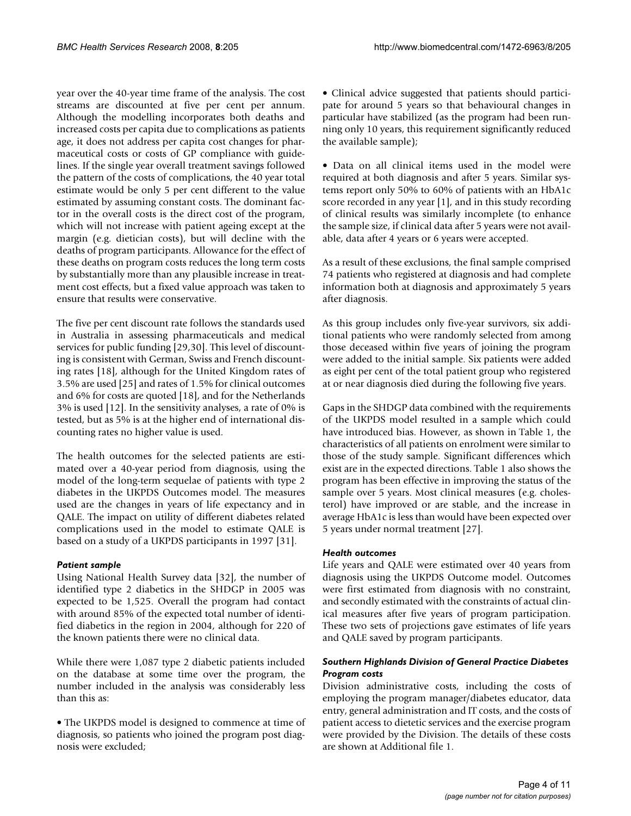year over the 40-year time frame of the analysis. The cost streams are discounted at five per cent per annum. Although the modelling incorporates both deaths and increased costs per capita due to complications as patients age, it does not address per capita cost changes for pharmaceutical costs or costs of GP compliance with guidelines. If the single year overall treatment savings followed the pattern of the costs of complications, the 40 year total estimate would be only 5 per cent different to the value estimated by assuming constant costs. The dominant factor in the overall costs is the direct cost of the program, which will not increase with patient ageing except at the margin (e.g. dietician costs), but will decline with the deaths of program participants. Allowance for the effect of these deaths on program costs reduces the long term costs by substantially more than any plausible increase in treatment cost effects, but a fixed value approach was taken to ensure that results were conservative.

The five per cent discount rate follows the standards used in Australia in assessing pharmaceuticals and medical services for public funding [29,30]. This level of discounting is consistent with German, Swiss and French discounting rates [18], although for the United Kingdom rates of 3.5% are used [25] and rates of 1.5% for clinical outcomes and 6% for costs are quoted [18], and for the Netherlands 3% is used [12]. In the sensitivity analyses, a rate of 0% is tested, but as 5% is at the higher end of international discounting rates no higher value is used.

The health outcomes for the selected patients are estimated over a 40-year period from diagnosis, using the model of the long-term sequelae of patients with type 2 diabetes in the UKPDS Outcomes model. The measures used are the changes in years of life expectancy and in QALE. The impact on utility of different diabetes related complications used in the model to estimate QALE is based on a study of a UKPDS participants in 1997 [31].

#### *Patient sample*

Using National Health Survey data [32], the number of identified type 2 diabetics in the SHDGP in 2005 was expected to be 1,525. Overall the program had contact with around 85% of the expected total number of identified diabetics in the region in 2004, although for 220 of the known patients there were no clinical data.

While there were 1,087 type 2 diabetic patients included on the database at some time over the program, the number included in the analysis was considerably less than this as:

• The UKPDS model is designed to commence at time of diagnosis, so patients who joined the program post diagnosis were excluded;

• Clinical advice suggested that patients should participate for around 5 years so that behavioural changes in particular have stabilized (as the program had been running only 10 years, this requirement significantly reduced the available sample);

• Data on all clinical items used in the model were required at both diagnosis and after 5 years. Similar systems report only 50% to 60% of patients with an HbA1c score recorded in any year [1], and in this study recording of clinical results was similarly incomplete (to enhance the sample size, if clinical data after 5 years were not available, data after 4 years or 6 years were accepted.

As a result of these exclusions, the final sample comprised 74 patients who registered at diagnosis and had complete information both at diagnosis and approximately 5 years after diagnosis.

As this group includes only five-year survivors, six additional patients who were randomly selected from among those deceased within five years of joining the program were added to the initial sample. Six patients were added as eight per cent of the total patient group who registered at or near diagnosis died during the following five years.

Gaps in the SHDGP data combined with the requirements of the UKPDS model resulted in a sample which could have introduced bias. However, as shown in Table 1, the characteristics of all patients on enrolment were similar to those of the study sample. Significant differences which exist are in the expected directions. Table 1 also shows the program has been effective in improving the status of the sample over 5 years. Most clinical measures (e.g. cholesterol) have improved or are stable, and the increase in average HbA1c is less than would have been expected over 5 years under normal treatment [27].

#### *Health outcomes*

Life years and QALE were estimated over 40 years from diagnosis using the UKPDS Outcome model. Outcomes were first estimated from diagnosis with no constraint, and secondly estimated with the constraints of actual clinical measures after five years of program participation. These two sets of projections gave estimates of life years and QALE saved by program participants.

#### *Southern Highlands Division of General Practice Diabetes Program costs*

Division administrative costs, including the costs of employing the program manager/diabetes educator, data entry, general administration and IT costs, and the costs of patient access to dietetic services and the exercise program were provided by the Division. The details of these costs are shown at Additional file 1.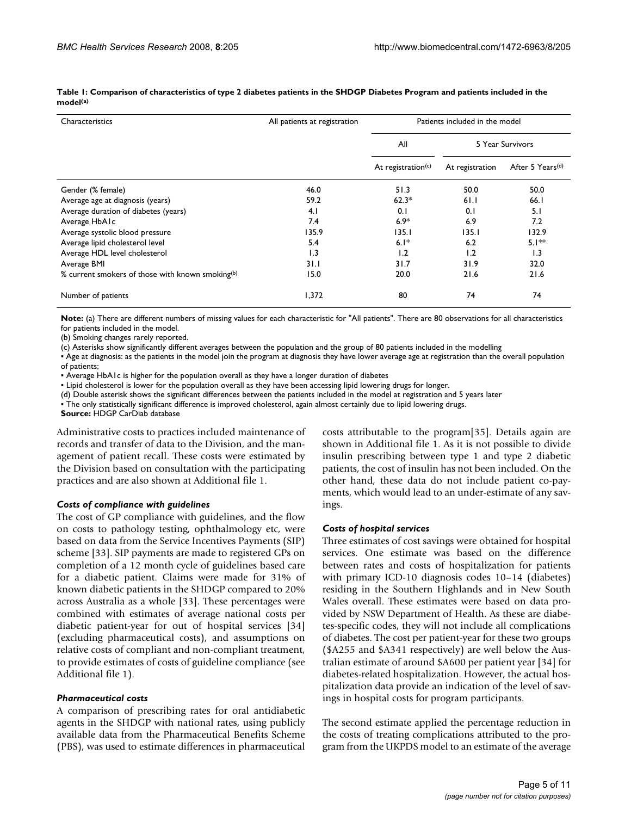| Characteristics                                              | All patients at registration | Patients included in the model |                  |                              |
|--------------------------------------------------------------|------------------------------|--------------------------------|------------------|------------------------------|
|                                                              |                              | All                            | 5 Year Survivors |                              |
|                                                              |                              | At registration <sup>(c)</sup> | At registration  | After 5 Years <sup>(d)</sup> |
| Gender (% female)                                            | 46.0                         | 51.3                           | 50.0             | 50.0                         |
| Average age at diagnosis (years)                             | 59.2                         | $62.3*$                        | 61.1             | 66.1                         |
| Average duration of diabetes (years)                         | 4.1                          | 0.1                            | 0.1              | 5.1                          |
| Average HbAIc                                                | 7.4                          | $6.9*$                         | 6.9              | 7.2                          |
| Average systolic blood pressure                              | 135.9                        | 135.1                          | 135.1            | 132.9                        |
| Average lipid cholesterol level                              | 5.4                          | $6.1*$                         | 6.2              | $5.1**$                      |
| Average HDL level cholesterol                                | 1.3                          | 1.2                            | 1.2              | 1.3                          |
| Average BMI                                                  | 31.1                         | 31.7                           | 31.9             | 32.0                         |
| % current smokers of those with known smoking <sup>(b)</sup> | 15.0                         | 20.0                           | 21.6             | 21.6                         |
| Number of patients                                           | 1,372                        | 80                             | 74               | 74                           |

**Table 1: Comparison of characteristics of type 2 diabetes patients in the SHDGP Diabetes Program and patients included in the model(a)**

**Note:** (a) There are different numbers of missing values for each characteristic for "All patients". There are 80 observations for all characteristics for patients included in the model.

(b) Smoking changes rarely reported.

(c) Asterisks show significantly different averages between the population and the group of 80 patients included in the modelling

▪ Age at diagnosis: as the patients in the model join the program at diagnosis they have lower average age at registration than the overall population of patients;

▪ Average HbA1c is higher for the population overall as they have a longer duration of diabetes

▪ Lipid cholesterol is lower for the population overall as they have been accessing lipid lowering drugs for longer.

(d) Double asterisk shows the significant differences between the patients included in the model at registration and 5 years later

▪ The only statistically significant difference is improved cholesterol, again almost certainly due to lipid lowering drugs.

**Source:** HDGP CarDiab database

Administrative costs to practices included maintenance of records and transfer of data to the Division, and the management of patient recall. These costs were estimated by the Division based on consultation with the participating practices and are also shown at Additional file 1.

#### *Costs of compliance with guidelines*

The cost of GP compliance with guidelines, and the flow on costs to pathology testing, ophthalmology etc, were based on data from the Service Incentives Payments (SIP) scheme [33]. SIP payments are made to registered GPs on completion of a 12 month cycle of guidelines based care for a diabetic patient. Claims were made for 31% of known diabetic patients in the SHDGP compared to 20% across Australia as a whole [33]. These percentages were combined with estimates of average national costs per diabetic patient-year for out of hospital services [34] (excluding pharmaceutical costs), and assumptions on relative costs of compliant and non-compliant treatment, to provide estimates of costs of guideline compliance (see Additional file 1).

#### *Pharmaceutical costs*

A comparison of prescribing rates for oral antidiabetic agents in the SHDGP with national rates, using publicly available data from the Pharmaceutical Benefits Scheme (PBS), was used to estimate differences in pharmaceutical

costs attributable to the program[35]. Details again are shown in Additional file 1. As it is not possible to divide insulin prescribing between type 1 and type 2 diabetic patients, the cost of insulin has not been included. On the other hand, these data do not include patient co-payments, which would lead to an under-estimate of any savings.

#### *Costs of hospital services*

Three estimates of cost savings were obtained for hospital services. One estimate was based on the difference between rates and costs of hospitalization for patients with primary ICD-10 diagnosis codes 10–14 (diabetes) residing in the Southern Highlands and in New South Wales overall. These estimates were based on data provided by NSW Department of Health. As these are diabetes-specific codes, they will not include all complications of diabetes. The cost per patient-year for these two groups (\$A255 and \$A341 respectively) are well below the Australian estimate of around \$A600 per patient year [34] for diabetes-related hospitalization. However, the actual hospitalization data provide an indication of the level of savings in hospital costs for program participants.

The second estimate applied the percentage reduction in the costs of treating complications attributed to the program from the UKPDS model to an estimate of the average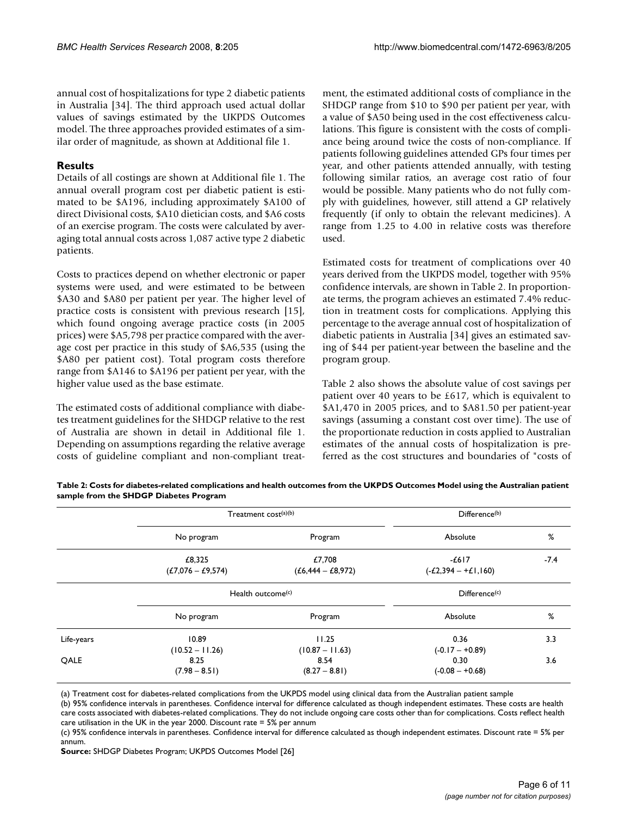annual cost of hospitalizations for type 2 diabetic patients in Australia [34]. The third approach used actual dollar values of savings estimated by the UKPDS Outcomes model. The three approaches provided estimates of a similar order of magnitude, as shown at Additional file 1.

## **Results**

Details of all costings are shown at Additional file 1. The annual overall program cost per diabetic patient is estimated to be \$A196, including approximately \$A100 of direct Divisional costs, \$A10 dietician costs, and \$A6 costs of an exercise program. The costs were calculated by averaging total annual costs across 1,087 active type 2 diabetic patients.

Costs to practices depend on whether electronic or paper systems were used, and were estimated to be between \$A30 and \$A80 per patient per year. The higher level of practice costs is consistent with previous research [15], which found ongoing average practice costs (in 2005 prices) were \$A5,798 per practice compared with the average cost per practice in this study of \$A6,535 (using the \$A80 per patient cost). Total program costs therefore range from \$A146 to \$A196 per patient per year, with the higher value used as the base estimate.

The estimated costs of additional compliance with diabetes treatment guidelines for the SHDGP relative to the rest of Australia are shown in detail in Additional file 1. Depending on assumptions regarding the relative average costs of guideline compliant and non-compliant treatment, the estimated additional costs of compliance in the SHDGP range from \$10 to \$90 per patient per year, with a value of \$A50 being used in the cost effectiveness calculations. This figure is consistent with the costs of compliance being around twice the costs of non-compliance. If patients following guidelines attended GPs four times per year, and other patients attended annually, with testing following similar ratios, an average cost ratio of four would be possible. Many patients who do not fully comply with guidelines, however, still attend a GP relatively frequently (if only to obtain the relevant medicines). A range from 1.25 to 4.00 in relative costs was therefore used.

Estimated costs for treatment of complications over 40 years derived from the UKPDS model, together with 95% confidence intervals, are shown in Table 2. In proportionate terms, the program achieves an estimated 7.4% reduction in treatment costs for complications. Applying this percentage to the average annual cost of hospitalization of diabetic patients in Australia [34] gives an estimated saving of \$44 per patient-year between the baseline and the program group.

Table 2 also shows the absolute value of cost savings per patient over 40 years to be £617, which is equivalent to \$A1,470 in 2005 prices, and to \$A81.50 per patient-year savings (assuming a constant cost over time). The use of the proportionate reduction in costs applied to Australian estimates of the annual costs of hospitalization is preferred as the cost structures and boundaries of "costs of

**Table 2: Costs for diabetes-related complications and health outcomes from the UKPDS Outcomes Model using the Australian patient sample from the SHDGP Diabetes Program**

|            | Treatment cost <sup>(a)(b)</sup> |                               | Difference(b)                  |        |  |
|------------|----------------------------------|-------------------------------|--------------------------------|--------|--|
|            | No program                       | Program                       | Absolute                       | %      |  |
|            | £8,325<br>$(L7,076 - L9,574)$    | £7,708<br>$(£6,444 - £8,972)$ | $-617$<br>$(-2,394 - +21,160)$ | $-7.4$ |  |
|            | Health outcome <sup>(c)</sup>    |                               | Difference <sup>(c)</sup>      |        |  |
|            | No program                       | Program                       | Absolute                       | %      |  |
| Life-years | 10.89<br>$(10.52 - 11.26)$       | 11.25<br>$(10.87 - 11.63)$    | 0.36<br>$(-0.17 - +0.89)$      | 3.3    |  |
| QALE       | 8.25<br>$(7.98 - 8.51)$          | 8.54<br>$(8.27 - 8.81)$       | 0.30<br>$(-0.08 - +0.68)$      | 3.6    |  |

(a) Treatment cost for diabetes-related complications from the UKPDS model using clinical data from the Australian patient sample

(b) 95% confidence intervals in parentheses. Confidence interval for difference calculated as though independent estimates. These costs are health care costs associated with diabetes-related complications. They do not include ongoing care costs other than for complications. Costs reflect health care utilisation in the UK in the year 2000. Discount rate = 5% per annum

(c) 95% confidence intervals in parentheses. Confidence interval for difference calculated as though independent estimates. Discount rate = 5% per annum.

**Source:** SHDGP Diabetes Program; UKPDS Outcomes Model [26]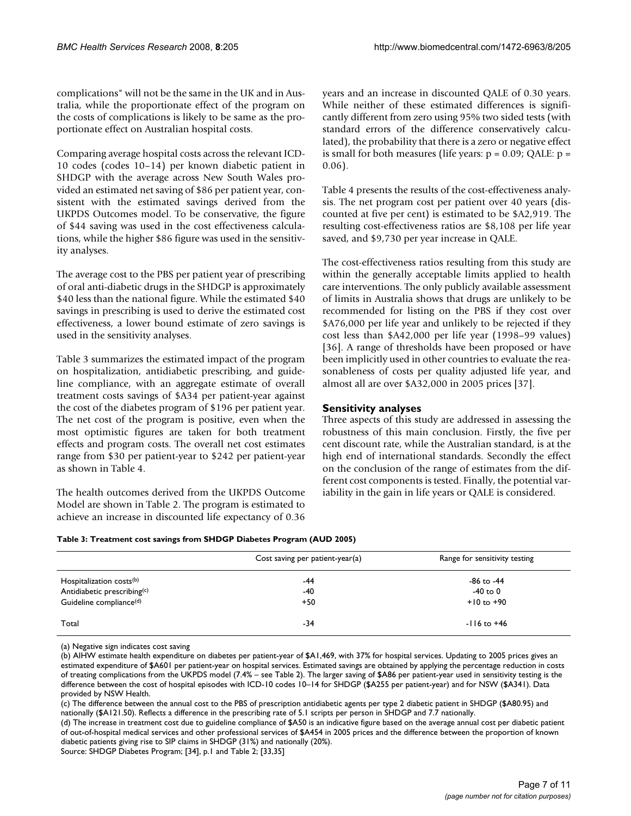complications" will not be the same in the UK and in Australia, while the proportionate effect of the program on the costs of complications is likely to be same as the proportionate effect on Australian hospital costs.

Comparing average hospital costs across the relevant ICD-10 codes (codes 10–14) per known diabetic patient in SHDGP with the average across New South Wales provided an estimated net saving of \$86 per patient year, consistent with the estimated savings derived from the UKPDS Outcomes model. To be conservative, the figure of \$44 saving was used in the cost effectiveness calculations, while the higher \$86 figure was used in the sensitivity analyses.

The average cost to the PBS per patient year of prescribing of oral anti-diabetic drugs in the SHDGP is approximately \$40 less than the national figure. While the estimated \$40 savings in prescribing is used to derive the estimated cost effectiveness, a lower bound estimate of zero savings is used in the sensitivity analyses.

Table 3 summarizes the estimated impact of the program on hospitalization, antidiabetic prescribing, and guideline compliance, with an aggregate estimate of overall treatment costs savings of \$A34 per patient-year against the cost of the diabetes program of \$196 per patient year. The net cost of the program is positive, even when the most optimistic figures are taken for both treatment effects and program costs. The overall net cost estimates range from \$30 per patient-year to \$242 per patient-year as shown in Table 4.

The health outcomes derived from the UKPDS Outcome Model are shown in Table 2. The program is estimated to achieve an increase in discounted life expectancy of 0.36

years and an increase in discounted QALE of 0.30 years. While neither of these estimated differences is significantly different from zero using 95% two sided tests (with standard errors of the difference conservatively calculated), the probability that there is a zero or negative effect is small for both measures (life years:  $p = 0.09$ ; QALE:  $p =$ 0.06).

Table 4 presents the results of the cost-effectiveness analysis. The net program cost per patient over 40 years (discounted at five per cent) is estimated to be \$A2,919. The resulting cost-effectiveness ratios are \$8,108 per life year saved, and \$9,730 per year increase in QALE.

The cost-effectiveness ratios resulting from this study are within the generally acceptable limits applied to health care interventions. The only publicly available assessment of limits in Australia shows that drugs are unlikely to be recommended for listing on the PBS if they cost over \$A76,000 per life year and unlikely to be rejected if they cost less than \$A42,000 per life year (1998–99 values) [36]. A range of thresholds have been proposed or have been implicitly used in other countries to evaluate the reasonableness of costs per quality adjusted life year, and almost all are over \$A32,000 in 2005 prices [37].

## **Sensitivity analyses**

Three aspects of this study are addressed in assessing the robustness of this main conclusion. Firstly, the five per cent discount rate, while the Australian standard, is at the high end of international standards. Secondly the effect on the conclusion of the range of estimates from the different cost components is tested. Finally, the potential variability in the gain in life years or QALE is considered.

#### **Table 3: Treatment cost savings from SHDGP Diabetes Program (AUD 2005)**

|                                         | Cost saving per patient-year(a) | Range for sensitivity testing |
|-----------------------------------------|---------------------------------|-------------------------------|
| Hospitalization costs <sup>(b)</sup>    | -44                             | -86 to -44                    |
| Antidiabetic prescribing <sup>(c)</sup> | $-40$                           | $-40$ to 0                    |
| Guideline compliance <sup>(d)</sup>     | $+50$                           | $+10$ to $+90$                |
| Total                                   | -34                             | $-116$ to $+46$               |

(a) Negative sign indicates cost saving

(b) AIHW estimate health expenditure on diabetes per patient-year of \$A1,469, with 37% for hospital services. Updating to 2005 prices gives an estimated expenditure of \$A601 per patient-year on hospital services. Estimated savings are obtained by applying the percentage reduction in costs of treating complications from the UKPDS model (7.4% – see Table 2). The larger saving of \$A86 per patient-year used in sensitivity testing is the difference between the cost of hospital episodes with ICD-10 codes 10–14 for SHDGP (\$A255 per patient-year) and for NSW (\$A341). Data provided by NSW Health.

(c) The difference between the annual cost to the PBS of prescription antidiabetic agents per type 2 diabetic patient in SHDGP (\$A80.95) and nationally (\$A121.50). Reflects a difference in the prescribing rate of 5.1 scripts per person in SHDGP and 7.7 nationally.

(d) The increase in treatment cost due to guideline compliance of \$A50 is an indicative figure based on the average annual cost per diabetic patient of out-of-hospital medical services and other professional services of \$A454 in 2005 prices and the difference between the proportion of known diabetic patients giving rise to SIP claims in SHDGP (31%) and nationally (20%).

Source: SHDGP Diabetes Program; [34], p.1 and Table 2; [33,35]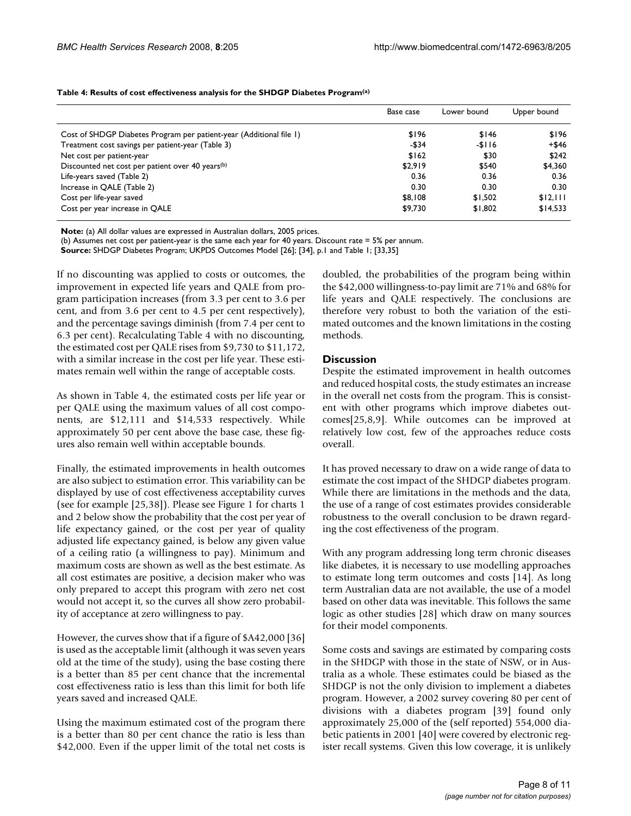#### **Table 4: Results of cost effectiveness analysis for the SHDGP Diabetes Program(a)**

|                                                                     | Base case | Lower bound | Upper bound |
|---------------------------------------------------------------------|-----------|-------------|-------------|
| Cost of SHDGP Diabetes Program per patient-year (Additional file 1) | \$196     | \$146       | \$196       |
| Treatment cost savings per patient-year (Table 3)                   | -\$34     | $-$116$     | +\$46       |
| Net cost per patient-year                                           | \$162     | \$30        | \$242       |
| Discounted net cost per patient over 40 years <sup>(b)</sup>        | \$2.919   | \$540       | \$4,360     |
| Life-years saved (Table 2)                                          | 0.36      | 0.36        | 0.36        |
| Increase in QALE (Table 2)                                          | 0.30      | 0.30        | 0.30        |
| Cost per life-year saved                                            | \$8,108   | \$1,502     | \$12,111    |
| Cost per year increase in QALE                                      | \$9,730   | \$1,802     | \$14,533    |

**Note:** (a) All dollar values are expressed in Australian dollars, 2005 prices.

(b) Assumes net cost per patient-year is the same each year for 40 years. Discount rate = 5% per annum.

**Source:** SHDGP Diabetes Program; UKPDS Outcomes Model [26]; [34], p.1 and Table 1; [33,35]

If no discounting was applied to costs or outcomes, the improvement in expected life years and QALE from program participation increases (from 3.3 per cent to 3.6 per cent, and from 3.6 per cent to 4.5 per cent respectively), and the percentage savings diminish (from 7.4 per cent to 6.3 per cent). Recalculating Table 4 with no discounting, the estimated cost per QALE rises from \$9,730 to \$11,172, with a similar increase in the cost per life year. These estimates remain well within the range of acceptable costs.

As shown in Table 4, the estimated costs per life year or per QALE using the maximum values of all cost components, are \$12,111 and \$14,533 respectively. While approximately 50 per cent above the base case, these figures also remain well within acceptable bounds.

Finally, the estimated improvements in health outcomes are also subject to estimation error. This variability can be displayed by use of cost effectiveness acceptability curves (see for example [25,38]). Please see Figure 1 for charts 1 and 2 below show the probability that the cost per year of life expectancy gained, or the cost per year of quality adjusted life expectancy gained, is below any given value of a ceiling ratio (a willingness to pay). Minimum and maximum costs are shown as well as the best estimate. As all cost estimates are positive, a decision maker who was only prepared to accept this program with zero net cost would not accept it, so the curves all show zero probability of acceptance at zero willingness to pay.

However, the curves show that if a figure of \$A42,000 [36] is used as the acceptable limit (although it was seven years old at the time of the study), using the base costing there is a better than 85 per cent chance that the incremental cost effectiveness ratio is less than this limit for both life years saved and increased QALE.

Using the maximum estimated cost of the program there is a better than 80 per cent chance the ratio is less than \$42,000. Even if the upper limit of the total net costs is doubled, the probabilities of the program being within the \$42,000 willingness-to-pay limit are 71% and 68% for life years and QALE respectively. The conclusions are therefore very robust to both the variation of the estimated outcomes and the known limitations in the costing methods.

#### **Discussion**

Despite the estimated improvement in health outcomes and reduced hospital costs, the study estimates an increase in the overall net costs from the program. This is consistent with other programs which improve diabetes outcomes[25,8,9]. While outcomes can be improved at relatively low cost, few of the approaches reduce costs overall.

It has proved necessary to draw on a wide range of data to estimate the cost impact of the SHDGP diabetes program. While there are limitations in the methods and the data, the use of a range of cost estimates provides considerable robustness to the overall conclusion to be drawn regarding the cost effectiveness of the program.

With any program addressing long term chronic diseases like diabetes, it is necessary to use modelling approaches to estimate long term outcomes and costs [14]. As long term Australian data are not available, the use of a model based on other data was inevitable. This follows the same logic as other studies [28] which draw on many sources for their model components.

Some costs and savings are estimated by comparing costs in the SHDGP with those in the state of NSW, or in Australia as a whole. These estimates could be biased as the SHDGP is not the only division to implement a diabetes program. However, a 2002 survey covering 80 per cent of divisions with a diabetes program [39] found only approximately 25,000 of the (self reported) 554,000 diabetic patients in 2001 [40] were covered by electronic register recall systems. Given this low coverage, it is unlikely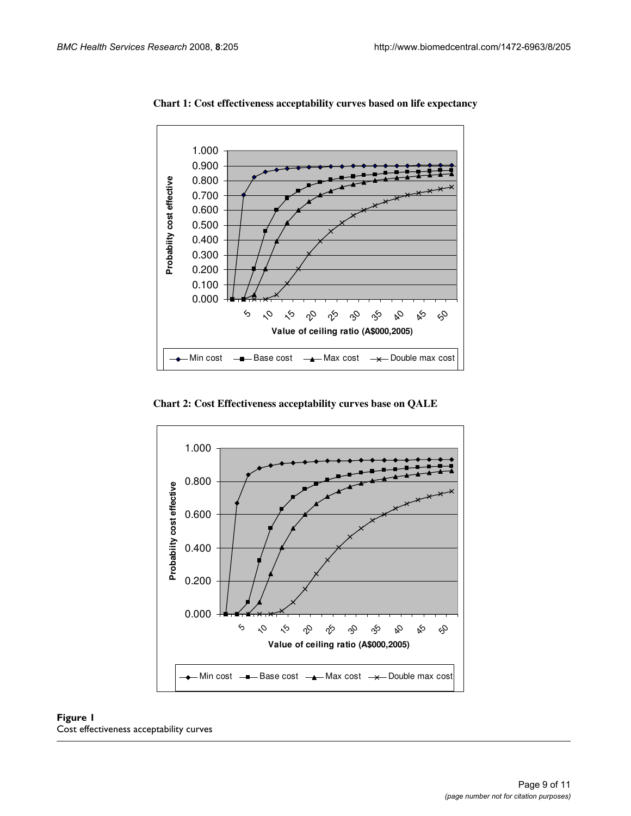

**Chart 1: Cost effectiveness acceptability curves based on life expectancy** 

**Chart 2: Cost Effectiveness acceptability curves base on QALE** 



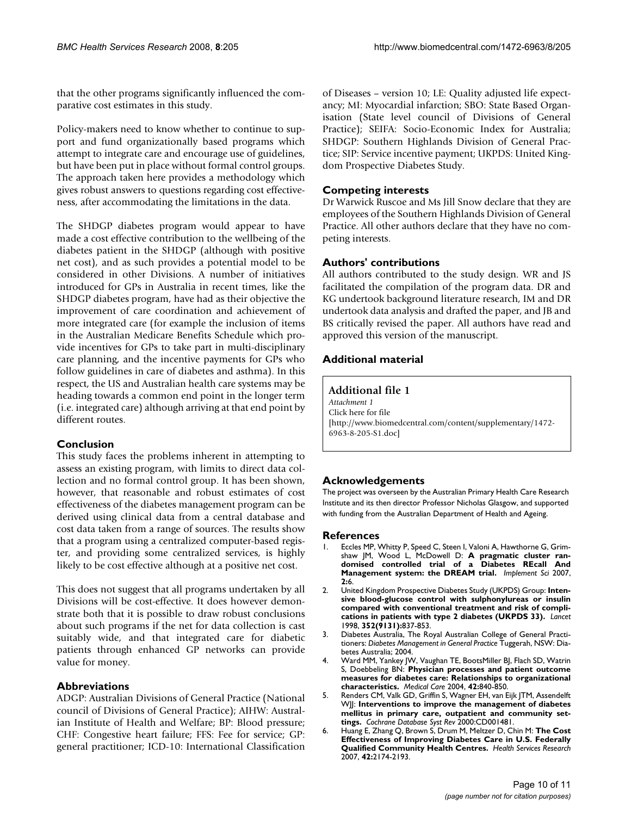that the other programs significantly influenced the comparative cost estimates in this study.

Policy-makers need to know whether to continue to support and fund organizationally based programs which attempt to integrate care and encourage use of guidelines, but have been put in place without formal control groups. The approach taken here provides a methodology which gives robust answers to questions regarding cost effectiveness, after accommodating the limitations in the data.

The SHDGP diabetes program would appear to have made a cost effective contribution to the wellbeing of the diabetes patient in the SHDGP (although with positive net cost), and as such provides a potential model to be considered in other Divisions. A number of initiatives introduced for GPs in Australia in recent times, like the SHDGP diabetes program, have had as their objective the improvement of care coordination and achievement of more integrated care (for example the inclusion of items in the Australian Medicare Benefits Schedule which provide incentives for GPs to take part in multi-disciplinary care planning, and the incentive payments for GPs who follow guidelines in care of diabetes and asthma). In this respect, the US and Australian health care systems may be heading towards a common end point in the longer term (i.e. integrated care) although arriving at that end point by different routes.

## **Conclusion**

This study faces the problems inherent in attempting to assess an existing program, with limits to direct data collection and no formal control group. It has been shown, however, that reasonable and robust estimates of cost effectiveness of the diabetes management program can be derived using clinical data from a central database and cost data taken from a range of sources. The results show that a program using a centralized computer-based register, and providing some centralized services, is highly likely to be cost effective although at a positive net cost.

This does not suggest that all programs undertaken by all Divisions will be cost-effective. It does however demonstrate both that it is possible to draw robust conclusions about such programs if the net for data collection is cast suitably wide, and that integrated care for diabetic patients through enhanced GP networks can provide value for money.

## **Abbreviations**

ADGP: Australian Divisions of General Practice (National council of Divisions of General Practice); AIHW: Australian Institute of Health and Welfare; BP: Blood pressure; CHF: Congestive heart failure; FFS: Fee for service; GP: general practitioner; ICD-10: International Classification of Diseases – version 10; LE: Quality adjusted life expectancy; MI: Myocardial infarction; SBO: State Based Organisation (State level council of Divisions of General Practice); SEIFA: Socio-Economic Index for Australia; SHDGP: Southern Highlands Division of General Practice; SIP: Service incentive payment; UKPDS: United Kingdom Prospective Diabetes Study.

## **Competing interests**

Dr Warwick Ruscoe and Ms Jill Snow declare that they are employees of the Southern Highlands Division of General Practice. All other authors declare that they have no competing interests.

#### **Authors' contributions**

All authors contributed to the study design. WR and JS facilitated the compilation of the program data. DR and KG undertook background literature research, IM and DR undertook data analysis and drafted the paper, and JB and BS critically revised the paper. All authors have read and approved this version of the manuscript.

## **Additional material**

**Additional file 1** *Attachment 1* Click here for file [\[http://www.biomedcentral.com/content/supplementary/1472-](http://www.biomedcentral.com/content/supplementary/1472-6963-8-205-S1.doc) 6963-8-205-S1.doc]

## **Acknowledgements**

The project was overseen by the Australian Primary Health Care Research Institute and its then director Professor Nicholas Glasgow, and supported with funding from the Australian Department of Health and Ageing.

#### **References**

- 1. Eccles MP, Whitty P, Speed C, Steen I, Valoni A, Hawthorne G, Grimshaw JM, Wood L, McDowell D: **[A pragmatic cluster ran](http://www.ncbi.nlm.nih.gov/entrez/query.fcgi?cmd=Retrieve&db=PubMed&dopt=Abstract&list_uids=17306017)[domised controlled trial of a Diabetes REcall And](http://www.ncbi.nlm.nih.gov/entrez/query.fcgi?cmd=Retrieve&db=PubMed&dopt=Abstract&list_uids=17306017) [Management system: the DREAM trial.](http://www.ncbi.nlm.nih.gov/entrez/query.fcgi?cmd=Retrieve&db=PubMed&dopt=Abstract&list_uids=17306017)** *Implement Sci* 2007, **2:**6.
- 2. United Kingdom Prospective Diabetes Study (UKPDS) Group: **[Inten](http://www.ncbi.nlm.nih.gov/entrez/query.fcgi?cmd=Retrieve&db=PubMed&dopt=Abstract&list_uids=9742976)[sive blood-glucose control with sulphonylureas or insulin](http://www.ncbi.nlm.nih.gov/entrez/query.fcgi?cmd=Retrieve&db=PubMed&dopt=Abstract&list_uids=9742976) compared with conventional treatment and risk of compli[cations in patients with type 2 diabetes \(UKPDS 33\).](http://www.ncbi.nlm.nih.gov/entrez/query.fcgi?cmd=Retrieve&db=PubMed&dopt=Abstract&list_uids=9742976)** *Lancet* 1998, **352(9131):**837-853.
- 3. Diabetes Australia, The Royal Australian College of General Practitioners: *Diabetes Management in General Practice* Tuggerah, NSW: Diabetes Australia; 2004.
- 4. Ward MM, Yankey JW, Vaughan TE, BootsMiller BJ, Flach SD, Watrin S, Doebbeling BN: **[Physician processes and patient outcome](http://www.ncbi.nlm.nih.gov/entrez/query.fcgi?cmd=Retrieve&db=PubMed&dopt=Abstract&list_uids=15319609) [measures for diabetes care: Relationships to organizational](http://www.ncbi.nlm.nih.gov/entrez/query.fcgi?cmd=Retrieve&db=PubMed&dopt=Abstract&list_uids=15319609) [characteristics.](http://www.ncbi.nlm.nih.gov/entrez/query.fcgi?cmd=Retrieve&db=PubMed&dopt=Abstract&list_uids=15319609)** *Medical Care* 2004, **42:**840-850.
- 5. Renders CM, Valk GD, Griffin S, Wagner EH, van Eijk JTM, Assendelft WJJ: **Interventions to improve the management of diabetes mellitus in primary care, outpatient and community settings.** *Cochrane Database Syst Rev* 2000:CD001481.
- 6. Huang E, Zhang Q, Brown S, Drum M, Meltzer D, Chin M: **[The Cost](http://www.ncbi.nlm.nih.gov/entrez/query.fcgi?cmd=Retrieve&db=PubMed&dopt=Abstract&list_uids=17995559) [Effectiveness of Improving Diabetes Care in U.S. Federally](http://www.ncbi.nlm.nih.gov/entrez/query.fcgi?cmd=Retrieve&db=PubMed&dopt=Abstract&list_uids=17995559) [Qualified Community Health Centres.](http://www.ncbi.nlm.nih.gov/entrez/query.fcgi?cmd=Retrieve&db=PubMed&dopt=Abstract&list_uids=17995559)** *Health Services Research* 2007, **42:**2174-2193.